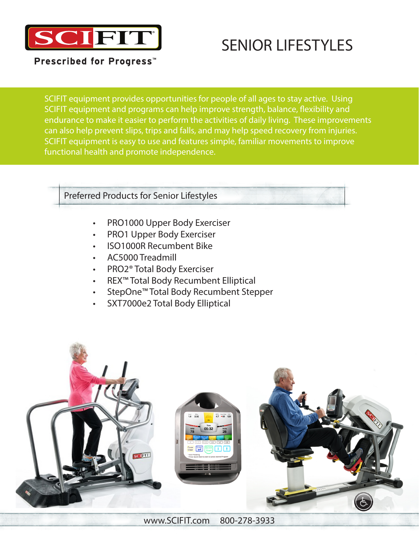

## SENIOR LIFESTYLES

Prescribed for Progress<sup>™</sup>

SCIFIT equipment provides opportunities for people of all ages to stay active. Using SCIFIT equipment and programs can help improve strength, balance, flexibility and endurance to make it easier to perform the activities of daily living. These improvements can also help prevent slips, trips and falls, and may help speed recovery from injuries. SCIFIT equipment is easy to use and features simple, familiar movements to improve functional health and promote independence.

## Preferred Products for Senior Lifestyles

- PRO1000 Upper Body Exerciser
- PRO1 Upper Body Exerciser
- ISO1000R Recumbent Bike
- AC5000 Treadmill
- PRO2® Total Body Exerciser
- REX™ Total Body Recumbent Elliptical
- StepOne™ Total Body Recumbent Stepper
- SXT7000e2 Total Body Elliptical